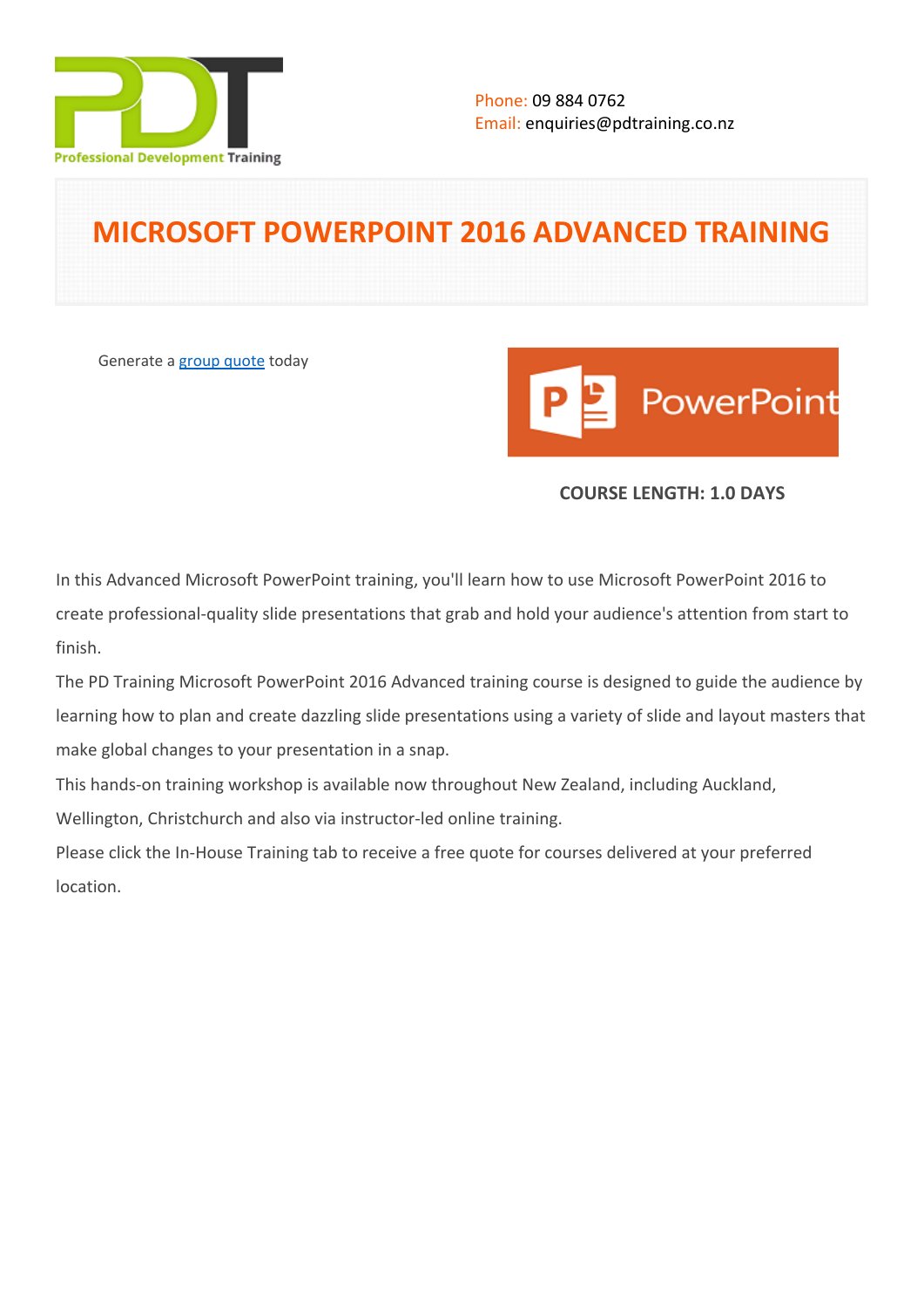

# **MICROSOFT POWERPOINT 2016 ADVANCED TRAINING**

Generate a [group quote](https://pdtraining.co.nz/inhouse-training-quote?cse=MSPA16) today



## **COURSE LENGTH: 1.0 DAYS**

In this Advanced Microsoft PowerPoint training, you'll learn how to use Microsoft PowerPoint 2016 to create professional-quality slide presentations that grab and hold your audience's attention from start to finish.

The PD Training Microsoft PowerPoint 2016 Advanced training course is designed to guide the audience by learning how to plan and create dazzling slide presentations using a variety of slide and layout masters that make global changes to your presentation in a snap.

This hands-on training workshop is available now throughout New Zealand, including Auckland,

Wellington, Christchurch and also via instructor-led online training.

Please click the In-House Training tab to receive a free quote for courses delivered at your preferred location.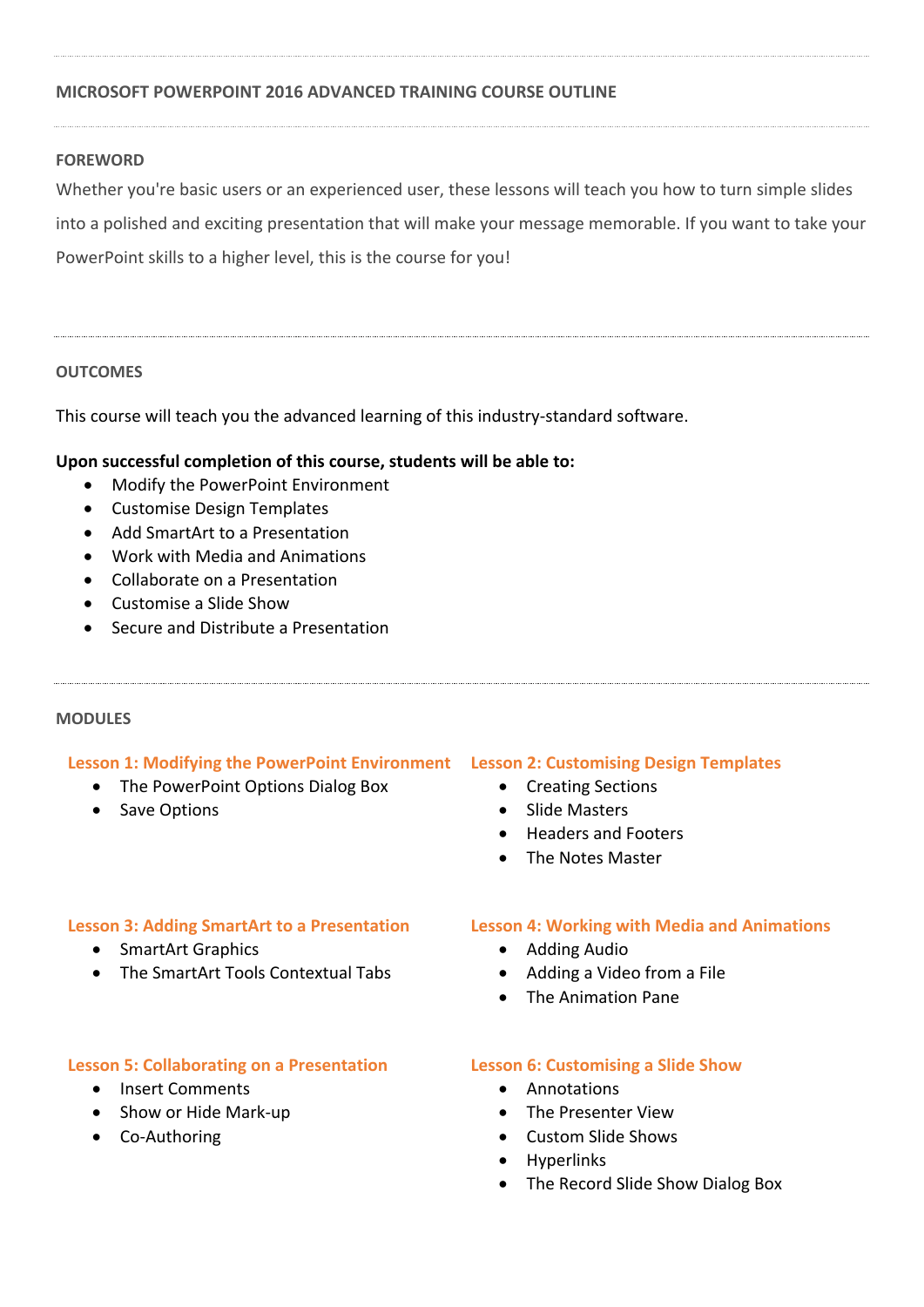### **MICROSOFT POWERPOINT 2016 ADVANCED TRAINING COURSE OUTLINE**

### **FOREWORD**

Whether you're basic users or an experienced user, these lessons will teach you how to turn simple slides into a polished and exciting presentation that will make your message memorable. If you want to take your PowerPoint skills to a higher level, this is the course for you!

### **OUTCOMES**

This course will teach you the advanced learning of this industry-standard software.

### **Upon successful completion of this course, students will be able to:**

- Modify the PowerPoint Environment
- Customise Design Templates
- Add SmartArt to a Presentation
- Work with Media and Animations
- Collaborate on a Presentation
- Customise a Slide Show
- Secure and Distribute a Presentation

### **MODULES**

### **Lesson 1: Modifying the PowerPoint Environment Lesson 2: Customising Design Templates**

- The PowerPoint Options Dialog Box
- Save Options

- Creating Sections
- Slide Masters
- Headers and Footers
- The Notes Master

### **Lesson 3: Adding SmartArt to a Presentation**

- SmartArt Graphics
- The SmartArt Tools Contextual Tabs

### **Lesson 5: Collaborating on a Presentation**

- Insert Comments
- Show or Hide Mark-up
- Co-Authoring

### **Lesson 4: Working with Media and Animations**

- Adding Audio
- Adding a Video from a File
- The Animation Pane

### **Lesson 6: Customising a Slide Show**

- Annotations
- The Presenter View
- Custom Slide Shows
- Hyperlinks
- The Record Slide Show Dialog Box